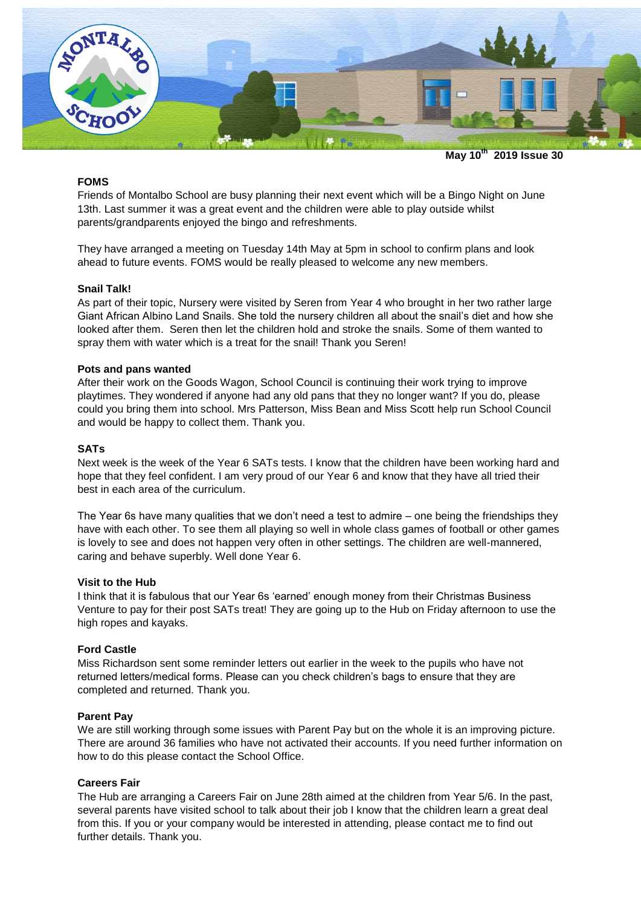

**May 10th 2019 Issue 30**

# **FOMS**

Friends of Montalbo School are busy planning their next event which will be a Bingo Night on June 13th. Last summer it was a great event and the children were able to play outside whilst parents/grandparents enjoyed the bingo and refreshments.

They have arranged a meeting on Tuesday 14th May at 5pm in school to confirm plans and look ahead to future events. FOMS would be really pleased to welcome any new members.

#### **Snail Talk!**

As part of their topic, Nursery were visited by Seren from Year 4 who brought in her two rather large Giant African Albino Land Snails. She told the nursery children all about the snail's diet and how she looked after them. Seren then let the children hold and stroke the snails. Some of them wanted to spray them with water which is a treat for the snail! Thank you Seren!

# **Pots and pans wanted**

After their work on the Goods Wagon, School Council is continuing their work trying to improve playtimes. They wondered if anyone had any old pans that they no longer want? If you do, please could you bring them into school. Mrs Patterson, Miss Bean and Miss Scott help run School Council and would be happy to collect them. Thank you.

### **SATs**

Next week is the week of the Year 6 SATs tests. I know that the children have been working hard and hope that they feel confident. I am very proud of our Year 6 and know that they have all tried their best in each area of the curriculum.

The Year 6s have many qualities that we don't need a test to admire – one being the friendships they have with each other. To see them all playing so well in whole class games of football or other games is lovely to see and does not happen very often in other settings. The children are well-mannered, caring and behave superbly. Well done Year 6.

#### **Visit to the Hub**

I think that it is fabulous that our Year 6s 'earned' enough money from their Christmas Business Venture to pay for their post SATs treat! They are going up to the Hub on Friday afternoon to use the high ropes and kayaks.

#### **Ford Castle**

Miss Richardson sent some reminder letters out earlier in the week to the pupils who have not returned letters/medical forms. Please can you check children's bags to ensure that they are completed and returned. Thank you.

#### **Parent Pay**

We are still working through some issues with Parent Pay but on the whole it is an improving picture. There are around 36 families who have not activated their accounts. If you need further information on how to do this please contact the School Office.

## **Careers Fair**

The Hub are arranging a Careers Fair on June 28th aimed at the children from Year 5/6. In the past, several parents have visited school to talk about their job I know that the children learn a great deal from this. If you or your company would be interested in attending, please contact me to find out further details. Thank you.